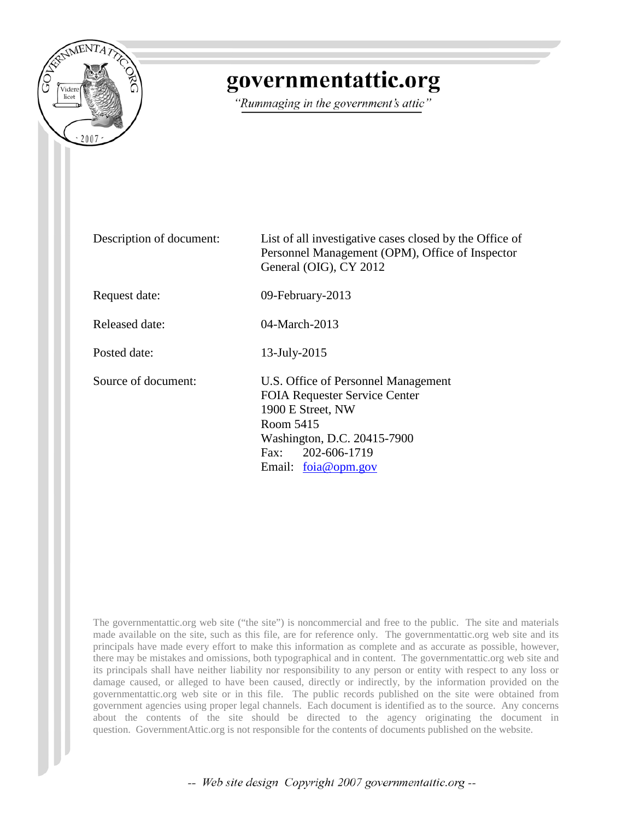

## governmentattic.org

"Rummaging in the government's attic"

Description of document: List of all investigative cases closed by the Office of Personnel Management (OPM), Office of Inspector General (OIG), CY 2012 Request date: 09-February-2013 Released date: 04-March-2013 Posted date: 13-July-2015 Source of document: U.S. Office of Personnel Management FOIA Requester Service Center 1900 E Street, NW Room 5415 Washington, D.C. 20415-7900 Fax: 202-606-1719 Email: [foia@opm.gov](mailto:foia@opm.gov)

The governmentattic.org web site ("the site") is noncommercial and free to the public. The site and materials made available on the site, such as this file, are for reference only. The governmentattic.org web site and its principals have made every effort to make this information as complete and as accurate as possible, however, there may be mistakes and omissions, both typographical and in content. The governmentattic.org web site and its principals shall have neither liability nor responsibility to any person or entity with respect to any loss or damage caused, or alleged to have been caused, directly or indirectly, by the information provided on the governmentattic.org web site or in this file. The public records published on the site were obtained from government agencies using proper legal channels. Each document is identified as to the source. Any concerns about the contents of the site should be directed to the agency originating the document in question. GovernmentAttic.org is not responsible for the contents of documents published on the website.

-- Web site design Copyright 2007 governmentattic.org --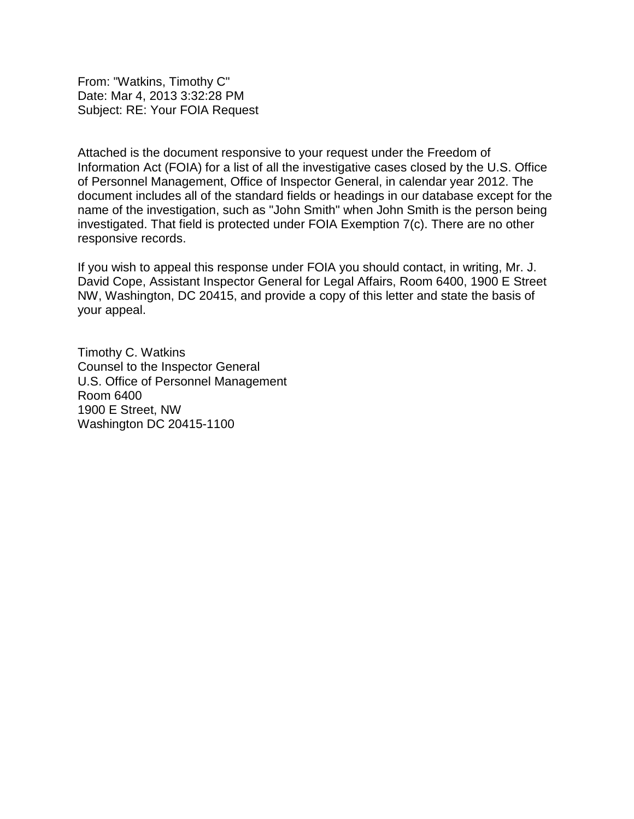From: "Watkins, Timothy C" Date: Mar 4, 2013 3:32:28 PM Subject: RE: Your FOIA Request

Attached is the document responsive to your request under the Freedom of Information Act (FOIA) for a list of all the investigative cases closed by the U.S. Office of Personnel Management, Office of Inspector General, in calendar year 2012. The document includes all of the standard fields or headings in our database except for the name of the investigation, such as "John Smith" when John Smith is the person being investigated. That field is protected under FOIA Exemption 7(c). There are no other responsive records.

If you wish to appeal this response under FOIA you should contact, in writing, Mr. J. David Cope, Assistant Inspector General for Legal Affairs, Room 6400, 1900 E Street NW, Washington, DC 20415, and provide a copy of this letter and state the basis of your appeal.

Timothy C. Watkins Counsel to the Inspector General U.S. Office of Personnel Management Room 6400 1900 E Street, NW Washington DC 20415-1100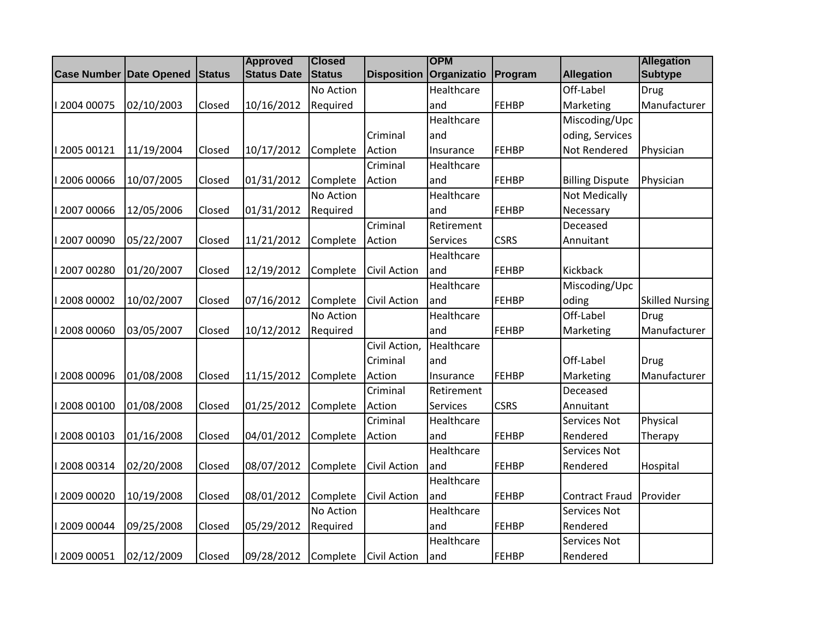|                                |            |               | <b>Approved</b>    | <b>Closed</b> |                     | <b>OPM</b>  |              |                        | <b>Allegation</b>      |
|--------------------------------|------------|---------------|--------------------|---------------|---------------------|-------------|--------------|------------------------|------------------------|
| <b>Case Number Date Opened</b> |            | <b>Status</b> | <b>Status Date</b> | <b>Status</b> | <b>Disposition</b>  | Organizatio | Program      | <b>Allegation</b>      | <b>Subtype</b>         |
|                                |            |               |                    | No Action     |                     | Healthcare  |              | Off-Label              | <b>Drug</b>            |
| I 2004 00075                   | 02/10/2003 | Closed        | 10/16/2012         | Required      |                     | and         | FEHBP        | Marketing              | Manufacturer           |
|                                |            |               |                    |               |                     | Healthcare  |              | Miscoding/Upc          |                        |
|                                |            |               |                    |               | Criminal            | and         |              | oding, Services        |                        |
| 12005 00121                    | 11/19/2004 | Closed        | 10/17/2012         | Complete      | Action              | Insurance   | FEHBP        | Not Rendered           | Physician              |
|                                |            |               |                    |               | Criminal            | Healthcare  |              |                        |                        |
| 12006 00066                    | 10/07/2005 | Closed        | 01/31/2012         | Complete      | Action              | and         | FEHBP        | <b>Billing Dispute</b> | Physician              |
|                                |            |               |                    | No Action     |                     | Healthcare  |              | <b>Not Medically</b>   |                        |
| 1200700066                     | 12/05/2006 | Closed        | 01/31/2012         | Required      |                     | and         | FEHBP        | Necessary              |                        |
|                                |            |               |                    |               | Criminal            | Retirement  |              | Deceased               |                        |
| 1200700090                     | 05/22/2007 | Closed        | 11/21/2012         | Complete      | Action              | Services    | <b>CSRS</b>  | Annuitant              |                        |
|                                |            |               |                    |               |                     | Healthcare  |              |                        |                        |
| 1200700280                     | 01/20/2007 | Closed        | 12/19/2012         | Complete      | <b>Civil Action</b> | and         | <b>FEHBP</b> | Kickback               |                        |
|                                |            |               |                    |               |                     | Healthcare  |              | Miscoding/Upc          |                        |
| 12008 00002                    | 10/02/2007 | Closed        | 07/16/2012         | Complete      | <b>Civil Action</b> | and         | <b>FEHBP</b> | oding                  | <b>Skilled Nursing</b> |
|                                |            |               |                    | No Action     |                     | Healthcare  |              | Off-Label              | Drug                   |
| 12008 00060                    | 03/05/2007 | Closed        | 10/12/2012         | Required      |                     | and         | FEHBP        | Marketing              | Manufacturer           |
|                                |            |               |                    |               | Civil Action,       | Healthcare  |              |                        |                        |
|                                |            |               |                    |               | Criminal            | and         |              | Off-Label              | <b>Drug</b>            |
| 12008 00096                    | 01/08/2008 | Closed        | 11/15/2012         | Complete      | Action              | Insurance   | <b>FEHBP</b> | Marketing              | Manufacturer           |
|                                |            |               |                    |               | Criminal            | Retirement  |              | Deceased               |                        |
| 12008 00100                    | 01/08/2008 | Closed        | 01/25/2012         | Complete      | Action              | Services    | <b>CSRS</b>  | Annuitant              |                        |
|                                |            |               |                    |               | Criminal            | Healthcare  |              | Services Not           | Physical               |
| 2008 00103                     | 01/16/2008 | Closed        | 04/01/2012         | Complete      | Action              | and         | <b>FEHBP</b> | Rendered               | Therapy                |
|                                |            |               |                    |               |                     | Healthcare  |              | Services Not           |                        |
| 12008 00314                    | 02/20/2008 | Closed        | 08/07/2012         | Complete      | <b>Civil Action</b> | and         | FEHBP        | Rendered               | Hospital               |
|                                |            |               |                    |               |                     | Healthcare  |              |                        |                        |
| 12009 00020                    | 10/19/2008 | Closed        | 08/01/2012         | Complete      | <b>Civil Action</b> | and         | FEHBP        | <b>Contract Fraud</b>  | Provider               |
|                                |            |               |                    | No Action     |                     | Healthcare  |              | Services Not           |                        |
| 12009 00044                    | 09/25/2008 | Closed        | 05/29/2012         | Required      |                     | and         | <b>FEHBP</b> | Rendered               |                        |
|                                |            |               |                    |               |                     | Healthcare  |              | Services Not           |                        |
| 12009 00051                    | 02/12/2009 | Closed        | 09/28/2012         | Complete      | <b>Civil Action</b> | and         | FEHBP        | Rendered               |                        |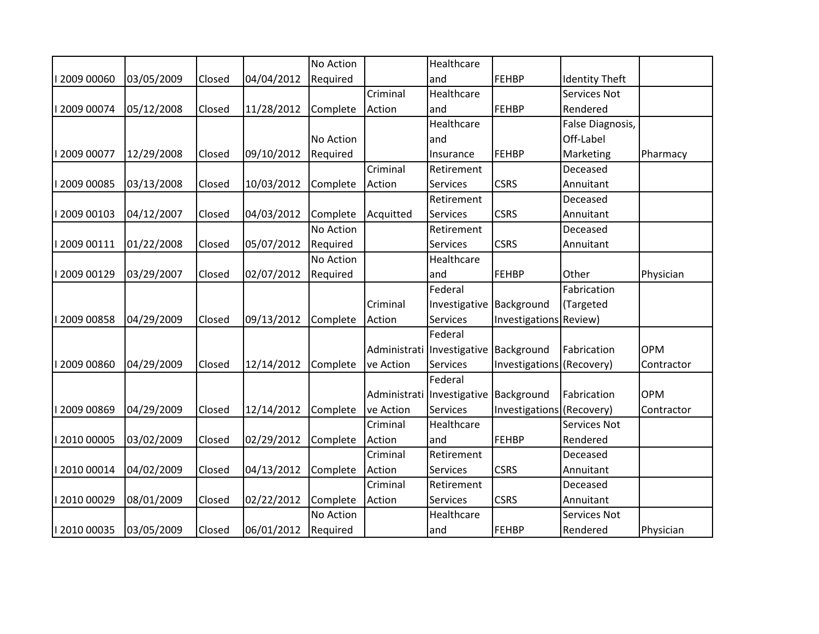|              |            |        |            | No Action |              | Healthcare    |                           |                       |            |
|--------------|------------|--------|------------|-----------|--------------|---------------|---------------------------|-----------------------|------------|
| 12009 00060  | 03/05/2009 | Closed | 04/04/2012 | Required  |              | and           | <b>FEHBP</b>              | <b>Identity Theft</b> |            |
|              |            |        |            |           | Criminal     | Healthcare    |                           | Services Not          |            |
| 12009 00074  | 05/12/2008 | Closed | 11/28/2012 | Complete  | Action       | and           | FEHBP                     | Rendered              |            |
|              |            |        |            |           |              | Healthcare    |                           | False Diagnosis,      |            |
|              |            |        |            | No Action |              | and           |                           | Off-Label             |            |
| I 2009 00077 | 12/29/2008 | Closed | 09/10/2012 | Required  |              | Insurance     | <b>FEHBP</b>              | Marketing             | Pharmacy   |
|              |            |        |            |           | Criminal     | Retirement    |                           | Deceased              |            |
| 12009 00085  | 03/13/2008 | Closed | 10/03/2012 | Complete  | Action       | Services      | <b>CSRS</b>               | Annuitant             |            |
|              |            |        |            |           |              | Retirement    |                           | Deceased              |            |
| 12009 00103  | 04/12/2007 | Closed | 04/03/2012 | Complete  | Acquitted    | Services      | <b>CSRS</b>               | Annuitant             |            |
|              |            |        |            | No Action |              | Retirement    |                           | Deceased              |            |
| 12009 00111  | 01/22/2008 | Closed | 05/07/2012 | Required  |              | Services      | <b>CSRS</b>               | Annuitant             |            |
|              |            |        |            | No Action |              | Healthcare    |                           |                       |            |
| 12009 00129  | 03/29/2007 | Closed | 02/07/2012 | Required  |              | and           | FEHBP                     | Other                 | Physician  |
|              |            |        |            |           |              | Federal       |                           | Fabrication           |            |
|              |            |        |            |           | Criminal     | Investigative | Background                | (Targeted             |            |
| 12009 00858  | 04/29/2009 | Closed | 09/13/2012 | Complete  | Action       | Services      | Investigations Review)    |                       |            |
|              |            |        |            |           |              | Federal       |                           |                       |            |
|              |            |        |            |           | Administrati | Investigative | Background                | Fabrication           | <b>OPM</b> |
| 12009 00860  | 04/29/2009 | Closed | 12/14/2012 | Complete  | ve Action    | Services      | Investigations            | (Recovery)            | Contractor |
|              |            |        |            |           |              | Federal       |                           |                       |            |
|              |            |        |            |           | Administrati | Investigative | Background                | Fabrication           | <b>OPM</b> |
| 12009 00869  | 04/29/2009 | Closed | 12/14/2012 | Complete  | ve Action    | Services      | Investigations (Recovery) |                       | Contractor |
|              |            |        |            |           | Criminal     | Healthcare    |                           | Services Not          |            |
| 12010 00005  | 03/02/2009 | Closed | 02/29/2012 | Complete  | Action       | and           | FEHBP                     | Rendered              |            |
|              |            |        |            |           | Criminal     | Retirement    |                           | Deceased              |            |
| 12010 00014  | 04/02/2009 | Closed | 04/13/2012 | Complete  | Action       | Services      | <b>CSRS</b>               | Annuitant             |            |
|              |            |        |            |           | Criminal     | Retirement    |                           | Deceased              |            |
| 12010 00029  | 08/01/2009 | Closed | 02/22/2012 | Complete  | Action       | Services      | <b>CSRS</b>               | Annuitant             |            |
|              |            |        |            | No Action |              | Healthcare    |                           | Services Not          |            |
| 12010 00035  | 03/05/2009 | Closed | 06/01/2012 | Required  |              | land          | FEHBP                     | Rendered              | Physician  |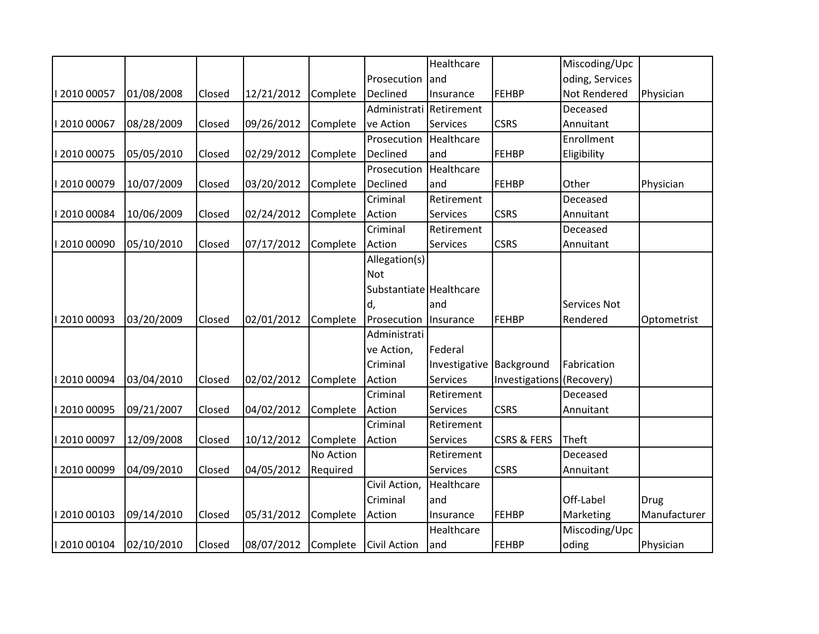|             |            |        |            |           |                         | Healthcare      |                           | Miscoding/Upc   |              |
|-------------|------------|--------|------------|-----------|-------------------------|-----------------|---------------------------|-----------------|--------------|
|             |            |        |            |           | Prosecution             | and             |                           | oding, Services |              |
| 2010 00057  | 01/08/2008 | Closed | 12/21/2012 | Complete  | Declined                | Insurance       | <b>FEHBP</b>              | Not Rendered    | Physician    |
|             |            |        |            |           | Administrati            | Retirement      |                           | Deceased        |              |
| 2010 00067  | 08/28/2009 | Closed | 09/26/2012 | Complete  | ve Action               | <b>Services</b> | <b>CSRS</b>               | Annuitant       |              |
|             |            |        |            |           | Prosecution             | Healthcare      |                           | Enrollment      |              |
| 2010 00075  | 05/05/2010 | Closed | 02/29/2012 | Complete  | Declined                | and             | <b>FEHBP</b>              | Eligibility     |              |
|             |            |        |            |           | Prosecution             | Healthcare      |                           |                 |              |
| 2010 00079  | 10/07/2009 | Closed | 03/20/2012 | Complete  | Declined                | and             | <b>FEHBP</b>              | Other           | Physician    |
|             |            |        |            |           | Criminal                | Retirement      |                           | Deceased        |              |
| 2010 00084  | 10/06/2009 | Closed | 02/24/2012 | Complete  | Action                  | <b>Services</b> | <b>CSRS</b>               | Annuitant       |              |
|             |            |        |            |           | Criminal                | Retirement      |                           | Deceased        |              |
| 2010 00090  | 05/10/2010 | Closed | 07/17/2012 | Complete  | Action                  | Services        | <b>CSRS</b>               | Annuitant       |              |
|             |            |        |            |           | Allegation(s)           |                 |                           |                 |              |
|             |            |        |            |           | <b>Not</b>              |                 |                           |                 |              |
|             |            |        |            |           | Substantiate Healthcare |                 |                           |                 |              |
|             |            |        |            |           | d,                      | and             |                           | Services Not    |              |
| 2010 00093  | 03/20/2009 | Closed | 02/01/2012 | Complete  | Prosecution             | Insurance       | <b>FEHBP</b>              | Rendered        | Optometrist  |
|             |            |        |            |           | Administrati            |                 |                           |                 |              |
|             |            |        |            |           | ve Action,              | Federal         |                           |                 |              |
|             |            |        |            |           | Criminal                | Investigative   | Background                | Fabrication     |              |
| 2010 00094  | 03/04/2010 | Closed | 02/02/2012 | Complete  | Action                  | Services        | Investigations (Recovery) |                 |              |
|             |            |        |            |           | Criminal                | Retirement      |                           | Deceased        |              |
| 12010 00095 | 09/21/2007 | Closed | 04/02/2012 | Complete  | Action                  | <b>Services</b> | <b>CSRS</b>               | Annuitant       |              |
|             |            |        |            |           | Criminal                | Retirement      |                           |                 |              |
| 2010 00097  | 12/09/2008 | Closed | 10/12/2012 | Complete  | Action                  | <b>Services</b> | <b>CSRS &amp; FERS</b>    | Theft           |              |
|             |            |        |            | No Action |                         | Retirement      |                           | Deceased        |              |
| 2010 00099  | 04/09/2010 | Closed | 04/05/2012 | Required  |                         | Services        | <b>CSRS</b>               | Annuitant       |              |
|             |            |        |            |           | Civil Action,           | Healthcare      |                           |                 |              |
|             |            |        |            |           | Criminal                | and             |                           | Off-Label       | Drug         |
| 12010 00103 | 09/14/2010 | Closed | 05/31/2012 | Complete  | Action                  | Insurance       | <b>FEHBP</b>              | Marketing       | Manufacturer |
|             |            |        |            |           |                         | Healthcare      |                           | Miscoding/Upc   |              |
| 12010 00104 | 02/10/2010 | Closed | 08/07/2012 | Complete  | <b>Civil Action</b>     | and             | <b>FEHBP</b>              | oding           | Physician    |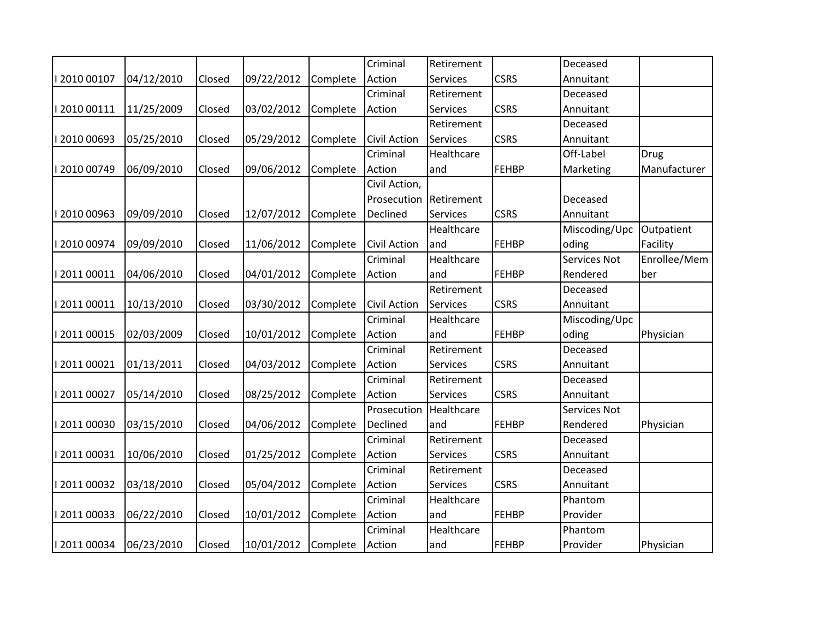|              |            |        |            |          | Criminal      | Retirement      |              | Deceased      |              |
|--------------|------------|--------|------------|----------|---------------|-----------------|--------------|---------------|--------------|
| 12010 00107  | 04/12/2010 | Closed | 09/22/2012 | Complete | Action        | Services        | <b>CSRS</b>  | Annuitant     |              |
|              |            |        |            |          | Criminal      | Retirement      |              | Deceased      |              |
| 12010 00111  | 11/25/2009 | Closed | 03/02/2012 | Complete | Action        | Services        | <b>CSRS</b>  | Annuitant     |              |
|              |            |        |            |          |               | Retirement      |              | Deceased      |              |
| 12010 00693  | 05/25/2010 | Closed | 05/29/2012 | Complete | Civil Action  | Services        | <b>CSRS</b>  | Annuitant     |              |
|              |            |        |            |          | Criminal      | Healthcare      |              | Off-Label     | Drug         |
| 12010 00749  | 06/09/2010 | Closed | 09/06/2012 | Complete | Action        | and             | <b>FEHBP</b> | Marketing     | Manufacturer |
|              |            |        |            |          | Civil Action, |                 |              |               |              |
|              |            |        |            |          | Prosecution   | Retirement      |              | Deceased      |              |
| 12010 00963  | 09/09/2010 | Closed | 12/07/2012 | Complete | Declined      | Services        | <b>CSRS</b>  | Annuitant     |              |
|              |            |        |            |          |               | Healthcare      |              | Miscoding/Upc | Outpatient   |
| I 2010 00974 | 09/09/2010 | Closed | 11/06/2012 | Complete | Civil Action  | and             | <b>FEHBP</b> | oding         | Facility     |
|              |            |        |            |          | Criminal      | Healthcare      |              | Services Not  | Enrollee/Mem |
| 2011 00011   | 04/06/2010 | Closed | 04/01/2012 | Complete | Action        | and             | <b>FEHBP</b> | Rendered      | ber          |
|              |            |        |            |          |               | Retirement      |              | Deceased      |              |
| 1201100011   | 10/13/2010 | Closed | 03/30/2012 | Complete | Civil Action  | Services        | <b>CSRS</b>  | Annuitant     |              |
|              |            |        |            |          | Criminal      | Healthcare      |              | Miscoding/Upc |              |
| 2011 00015   | 02/03/2009 | Closed | 10/01/2012 | Complete | Action        | and             | <b>FEHBP</b> | oding         | Physician    |
|              |            |        |            |          | Criminal      | Retirement      |              | Deceased      |              |
| 1201100021   | 01/13/2011 | Closed | 04/03/2012 | Complete | Action        | Services        | <b>CSRS</b>  | Annuitant     |              |
|              |            |        |            |          | Criminal      | Retirement      |              | Deceased      |              |
| 2011 00027   | 05/14/2010 | Closed | 08/25/2012 | Complete | Action        | <b>Services</b> | <b>CSRS</b>  | Annuitant     |              |
|              |            |        |            |          | Prosecution   | Healthcare      |              | Services Not  |              |
| 12011 00030  | 03/15/2010 | Closed | 04/06/2012 | Complete | Declined      | and             | <b>FEHBP</b> | Rendered      | Physician    |
|              |            |        |            |          | Criminal      | Retirement      |              | Deceased      |              |
| 1201100031   | 10/06/2010 | Closed | 01/25/2012 | Complete | Action        | <b>Services</b> | <b>CSRS</b>  | Annuitant     |              |
|              |            |        |            |          | Criminal      | Retirement      |              | Deceased      |              |
| 1201100032   | 03/18/2010 | Closed | 05/04/2012 | Complete | Action        | <b>Services</b> | <b>CSRS</b>  | Annuitant     |              |
|              |            |        |            |          | Criminal      | Healthcare      |              | Phantom       |              |
| I 2011 00033 | 06/22/2010 | Closed | 10/01/2012 | Complete | Action        | and             | <b>FEHBP</b> | Provider      |              |
|              |            |        |            |          | Criminal      | Healthcare      |              | Phantom       |              |
| 1201100034   | 06/23/2010 | Closed | 10/01/2012 | Complete | Action        | and             | <b>FEHBP</b> | Provider      | Physician    |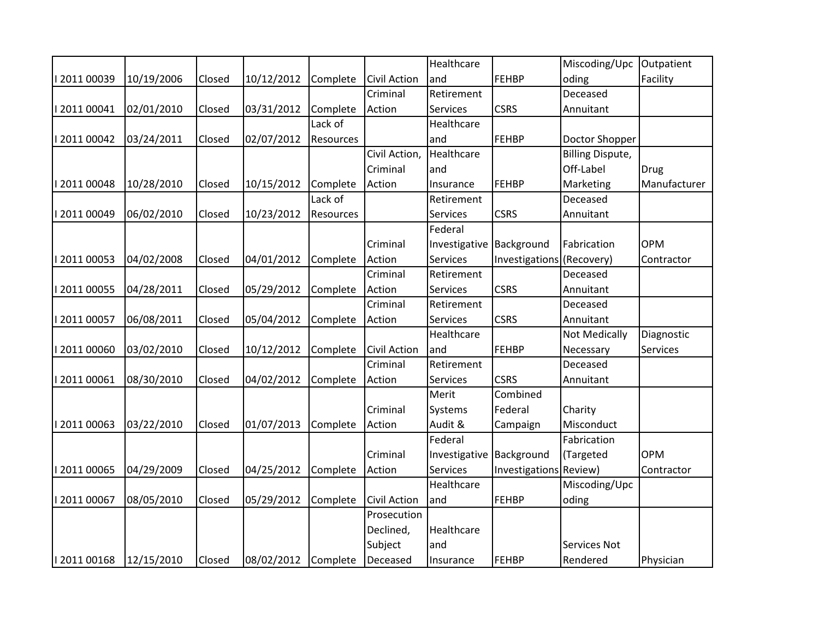|              |            |        |            |           |                     | Healthcare    |                           | Miscoding/Upc           | Outpatient   |
|--------------|------------|--------|------------|-----------|---------------------|---------------|---------------------------|-------------------------|--------------|
| 1201100039   | 10/19/2006 | Closed | 10/12/2012 | Complete  | <b>Civil Action</b> | and           | FEHBP                     | oding                   | Facility     |
|              |            |        |            |           | Criminal            | Retirement    |                           | Deceased                |              |
| 1201100041   | 02/01/2010 | Closed | 03/31/2012 | Complete  | Action              | Services      | <b>CSRS</b>               | Annuitant               |              |
|              |            |        |            | Lack of   |                     | Healthcare    |                           |                         |              |
| 1201100042   | 03/24/2011 | Closed | 02/07/2012 | Resources |                     | and           | <b>FEHBP</b>              | Doctor Shopper          |              |
|              |            |        |            |           | Civil Action,       | Healthcare    |                           | <b>Billing Dispute,</b> |              |
|              |            |        |            |           | Criminal            | and           |                           | Off-Label               | <b>Drug</b>  |
| 1201100048   | 10/28/2010 | Closed | 10/15/2012 | Complete  | Action              | Insurance     | <b>FEHBP</b>              | Marketing               | Manufacturer |
|              |            |        |            | Lack of   |                     | Retirement    |                           | Deceased                |              |
| 12011 00049  | 06/02/2010 | Closed | 10/23/2012 | Resources |                     | Services      | <b>CSRS</b>               | Annuitant               |              |
|              |            |        |            |           |                     | Federal       |                           |                         |              |
|              |            |        |            |           | Criminal            | Investigative | Background                | Fabrication             | <b>OPM</b>   |
| 2011 00053   | 04/02/2008 | Closed | 04/01/2012 | Complete  | Action              | Services      | Investigations (Recovery) |                         | Contractor   |
|              |            |        |            |           | Criminal            | Retirement    |                           | Deceased                |              |
| I 2011 00055 | 04/28/2011 | Closed | 05/29/2012 | Complete  | Action              | Services      | <b>CSRS</b>               | Annuitant               |              |
|              |            |        |            |           | Criminal            | Retirement    |                           | Deceased                |              |
| I 2011 00057 | 06/08/2011 | Closed | 05/04/2012 | Complete  | Action              | Services      | <b>CSRS</b>               | Annuitant               |              |
|              |            |        |            |           |                     | Healthcare    |                           | Not Medically           | Diagnostic   |
| 12011 00060  | 03/02/2010 | Closed | 10/12/2012 | Complete  | <b>Civil Action</b> | and           | <b>FEHBP</b>              | Necessary               | Services     |
|              |            |        |            |           | Criminal            | Retirement    |                           | Deceased                |              |
| I 2011 00061 | 08/30/2010 | Closed | 04/02/2012 | Complete  | Action              | Services      | <b>CSRS</b>               | Annuitant               |              |
|              |            |        |            |           |                     | Merit         | Combined                  |                         |              |
|              |            |        |            |           | Criminal            | Systems       | Federal                   | Charity                 |              |
| 2011 00063   | 03/22/2010 | Closed | 01/07/2013 | Complete  | Action              | Audit &       | Campaign                  | Misconduct              |              |
|              |            |        |            |           |                     | Federal       |                           | Fabrication             |              |
|              |            |        |            |           | Criminal            | Investigative | Background                | (Targeted               | <b>OPM</b>   |
| 12011 00065  | 04/29/2009 | Closed | 04/25/2012 | Complete  | Action              | Services      | Investigations Review)    |                         | Contractor   |
|              |            |        |            |           |                     | Healthcare    |                           | Miscoding/Upc           |              |
| 2011 00067   | 08/05/2010 | Closed | 05/29/2012 | Complete  | <b>Civil Action</b> | and           | <b>FEHBP</b>              | oding                   |              |
|              |            |        |            |           | Prosecution         |               |                           |                         |              |
|              |            |        |            |           | Declined,           | Healthcare    |                           |                         |              |
|              |            |        |            |           | Subject             | and           |                           | Services Not            |              |
| 12011 00168  | 12/15/2010 | Closed | 08/02/2012 | Complete  | Deceased            | Insurance     | <b>FEHBP</b>              | Rendered                | Physician    |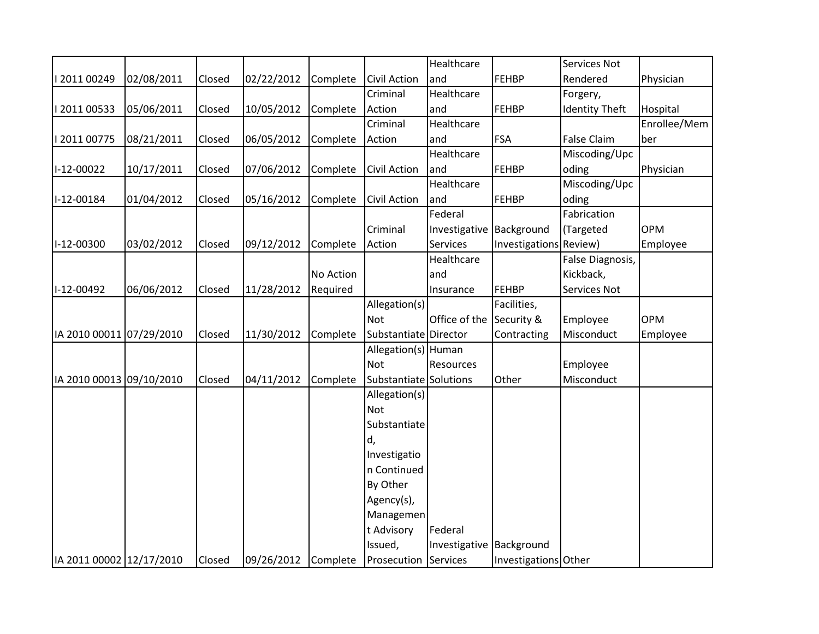|                          |            |        |            |           |                             | Healthcare               |                        | Services Not          |              |
|--------------------------|------------|--------|------------|-----------|-----------------------------|--------------------------|------------------------|-----------------------|--------------|
| 1201100249               | 02/08/2011 | Closed | 02/22/2012 | Complete  | <b>Civil Action</b>         | and                      | FEHBP                  | Rendered              | Physician    |
|                          |            |        |            |           | Criminal                    | Healthcare               |                        | Forgery,              |              |
| 1201100533               | 05/06/2011 | Closed | 10/05/2012 | Complete  | Action                      | and                      | FEHBP                  | <b>Identity Theft</b> | Hospital     |
|                          |            |        |            |           | Criminal                    | Healthcare               |                        |                       | Enrollee/Mem |
| I 2011 00775             | 08/21/2011 | Closed | 06/05/2012 | Complete  | Action                      | and                      | <b>FSA</b>             | <b>False Claim</b>    | ber          |
|                          |            |        |            |           |                             | Healthcare               |                        | Miscoding/Upc         |              |
| I-12-00022               | 10/17/2011 | Closed | 07/06/2012 | Complete  | Civil Action                | and                      | FEHBP                  | oding                 | Physician    |
|                          |            |        |            |           |                             | Healthcare               |                        | Miscoding/Upc         |              |
| I-12-00184               | 01/04/2012 | Closed | 05/16/2012 | Complete  | <b>Civil Action</b>         | and                      | FEHBP                  | oding                 |              |
|                          |            |        |            |           |                             | Federal                  |                        | Fabrication           |              |
|                          |            |        |            |           | Criminal                    | Investigative Background |                        | (Targeted             | <b>OPM</b>   |
| I-12-00300               | 03/02/2012 | Closed | 09/12/2012 | Complete  | Action                      | Services                 | Investigations Review) |                       | Employee     |
|                          |            |        |            |           |                             | Healthcare               |                        | False Diagnosis,      |              |
|                          |            |        |            | No Action |                             | and                      |                        | Kickback,             |              |
| I-12-00492               | 06/06/2012 | Closed | 11/28/2012 | Required  |                             | Insurance                | <b>FEHBP</b>           | Services Not          |              |
|                          |            |        |            |           | Allegation(s)               |                          | Facilities,            |                       |              |
|                          |            |        |            |           | <b>Not</b>                  | Office of the            | Security &             | Employee              | <b>OPM</b>   |
| IA 2010 00011 07/29/2010 |            | Closed | 11/30/2012 | Complete  | Substantiate Director       |                          | Contracting            | Misconduct            | Employee     |
|                          |            |        |            |           | Allegation(s) Human         |                          |                        |                       |              |
|                          |            |        |            |           | <b>Not</b>                  | Resources                |                        | Employee              |              |
| IA 2010 00013 09/10/2010 |            | Closed | 04/11/2012 | Complete  | Substantiate Solutions      |                          | Other                  | Misconduct            |              |
|                          |            |        |            |           | Allegation(s)               |                          |                        |                       |              |
|                          |            |        |            |           | Not                         |                          |                        |                       |              |
|                          |            |        |            |           | Substantiate                |                          |                        |                       |              |
|                          |            |        |            |           | d,                          |                          |                        |                       |              |
|                          |            |        |            |           | Investigatio                |                          |                        |                       |              |
|                          |            |        |            |           | n Continued                 |                          |                        |                       |              |
|                          |            |        |            |           | By Other                    |                          |                        |                       |              |
|                          |            |        |            |           | Agency(s),                  |                          |                        |                       |              |
|                          |            |        |            |           | Managemen                   |                          |                        |                       |              |
|                          |            |        |            |           | t Advisory                  | Federal                  |                        |                       |              |
|                          |            |        |            |           | Issued,                     | Investigative Background |                        |                       |              |
| IA 2011 00002 12/17/2010 |            | Closed | 09/26/2012 | Complete  | <b>Prosecution Services</b> |                          | Investigations Other   |                       |              |